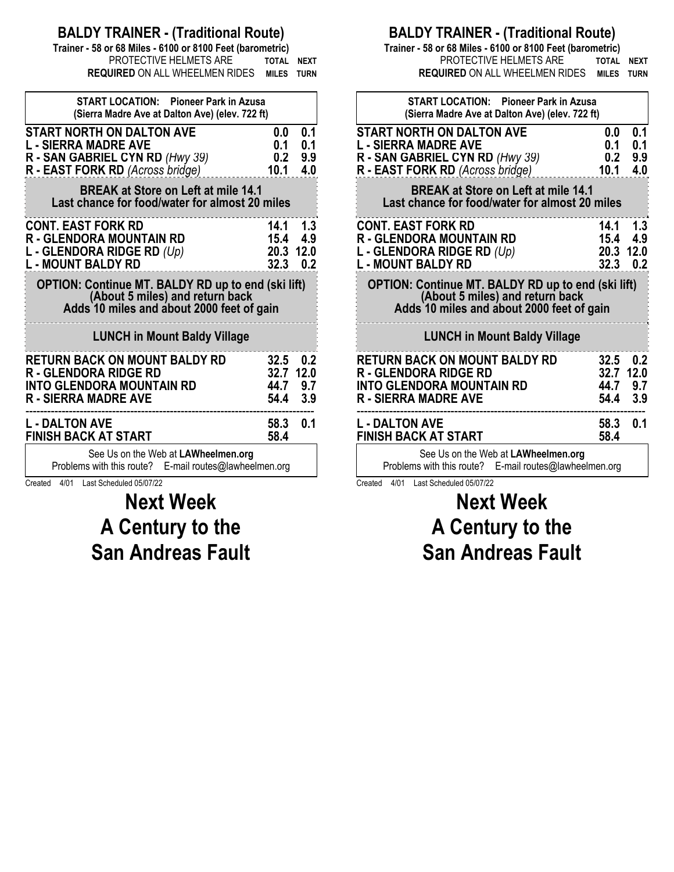### **BALDY TRAINER - (Traditional Route)**

**Trainer - 58 or 68 Miles - 6100 or 8100 Feet (barometric) PROTECTIVE HELMETS ARE TOTAL NEXT REQUIRED** ON ALL WHEELMEN RIDES **MILES TURN**

| <b>START LOCATION: Pioneer Park in Azusa</b><br>(Sierra Madre Ave at Dalton Ave) (elev. 722 ft)                                           |                                   |                                       |
|-------------------------------------------------------------------------------------------------------------------------------------------|-----------------------------------|---------------------------------------|
| <b>START NORTH ON DALTON AVE</b><br><b>L - SIERRA MADRE AVE</b>                                                                           | 0.0<br>0.1                        | 0.1<br>0.1                            |
| R - SAN GABRIEL CYN RD (Hwy 39)<br><b>R</b> - <b>EAST FORK RD</b> (Across bridge)                                                         | 0.2<br>10.1                       | 9.9<br>4.0                            |
| <b>BREAK at Store on Left at mile 14.1</b><br>Last chance for food/water for almost 20 miles                                              |                                   |                                       |
| <b>CONT. EAST FORK RD</b><br><b>R - GLENDORA MOUNTAIN RD</b><br>L - GLENDORA RIDGE RD $(Up)$<br><b>L - MOUNT BALDY RD</b>                 | 14.1<br>15.4<br>20.3 12.0<br>32.3 | - 1.3<br>4.9<br>0.2                   |
| <b>OPTION: Continue MT. BALDY RD up to end (ski lift)</b><br>(About 5 miles) and return back<br>Adds 10 miles and about 2000 feet of gain |                                   |                                       |
| <b>LUNCH in Mount Baldy Village</b>                                                                                                       |                                   |                                       |
| <b>RETURN BACK ON MOUNT BALDY RD</b><br><b>R - GLENDORA RIDGE RD</b><br><b>INTO GLENDORA MOUNTAIN RD</b><br><b>R - SIERRA MADRE AVE</b>   | 32.7<br>54.4                      | $32.5$ 0.2<br>12.0<br>44.7 9.7<br>3.9 |
| <b>L - DALTON AVE</b><br><b>FINISH BACK AT START</b>                                                                                      | 58.3<br>58.4                      | 0.1                                   |
| See Us on the Web at LAWheelmen.org<br>Problems with this route? E-mail routes@lawheelmen.org                                             |                                   |                                       |

Created 4/01 Last Scheduled 05/07/22

**Next Week A Century to the San Andreas Fault** 

#### **BALDY TRAINER - (Traditional Route)**

**Trainer - 58 or 68 Miles - 6100 or 8100 Feet (barometric)** PROTECTIVE HELMETS ARE **TOTAL NEXT REQUIRED** ON ALL WHEELMEN RIDES **MILES TURN**

| <b>START LOCATION: Pioneer Park in Azusa</b><br>(Sierra Madre Ave at Dalton Ave) (elev. 722 ft)                                           |                                            |                          |
|-------------------------------------------------------------------------------------------------------------------------------------------|--------------------------------------------|--------------------------|
| <b>START NORTH ON DALTON AVE</b><br><b>L - SIERRA MADRE AVE</b><br>R - SAN GABRIEL CYN RD (Hwy 39)<br>R - EAST FORK RD (Across bridge)    | 0.0<br>0.1<br>0.2<br>10.1                  | 0.1<br>0.1<br>9.9<br>4.0 |
| <b>BREAK at Store on Left at mile 14.1</b><br>Last chance for food/water for almost 20 miles                                              |                                            |                          |
| <b>CONT. EAST FORK RD</b><br><b>R - GLENDORA MOUNTAIN RD</b><br><b>L - GLENDORA RIDGE RD</b> (Up)<br>L - MOUNT BALDY RD                   | 14.1 1.3<br>15.4 4.9<br>20.3<br>$32.3$ 0.2 | 12.0                     |
| <b>OPTION: Continue MT. BALDY RD up to end (ski lift)</b><br>(About 5 miles) and return back<br>Adds 10 miles and about 2000 feet of gain |                                            |                          |
| <b>LUNCH in Mount Baldy Village</b>                                                                                                       |                                            |                          |
| RETURN BACK ON MOUNT BALDY RD<br><b>R - GLENDORA RIDGE RD</b><br><b>INTO GLENDORA MOUNTAIN RD</b><br>R - SIERRA MADRE AVE                 | $32.5$ 0.2<br>32.7<br>44.7<br>54.4 3.9     | 12.0<br>9.7              |
| <b>L - DALTON AVE</b><br><b>FINISH BACK AT START</b>                                                                                      | 58.3<br>58.4                               | 0.1                      |
| See Us on the Web at LAWheelmen.org<br>Problems with this route? E-mail routes@lawheelmen.org                                             |                                            |                          |

Created 4/01 Last Scheduled 05/07/22

# **Next Week A Century to the San Andreas Fault**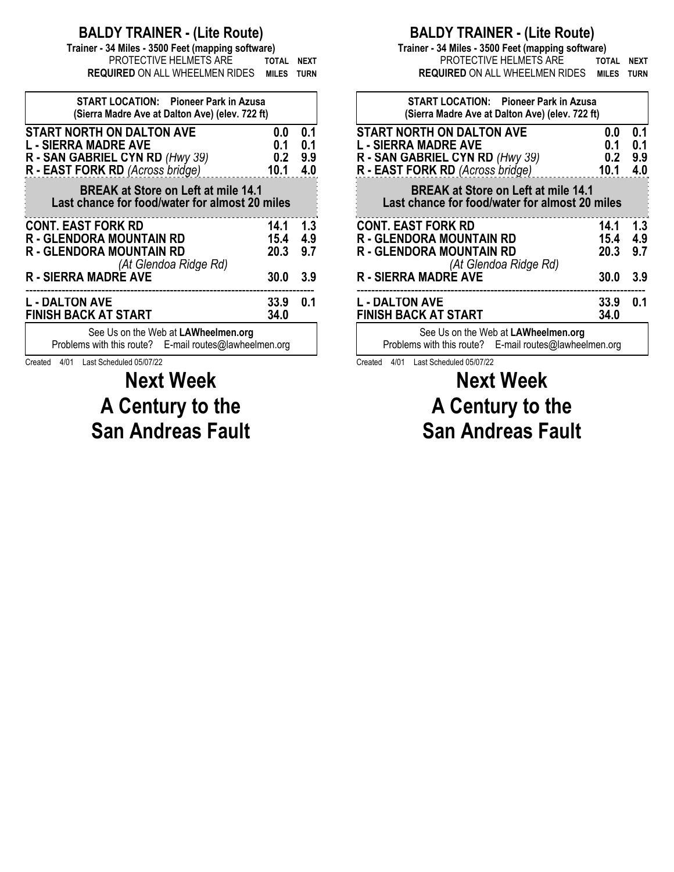### **BALDY TRAINER - (Lite Route)**

**Trainer - 34 Miles - 3500 Feet (mapping software)** PROTECTIVE HELMETS ARE **TOTAL NEXT REQUIRED** ON ALL WHEELMEN RIDES **MILES TURN**

| <b>START LOCATION:</b> Pioneer Park in Azusa<br>(Sierra Madre Ave at Dalton Ave) (elev. 722 ft)                                        |                           |                          |
|----------------------------------------------------------------------------------------------------------------------------------------|---------------------------|--------------------------|
| <b>START NORTH ON DALTON AVE</b><br><b>L - SIERRA MADRE AVE</b><br>R - SAN GABRIEL CYN RD (Hwy 39)<br>R - EAST FORK RD (Across bridge) | 0.0<br>0.1<br>0.2<br>10.1 | 0.1<br>0.1<br>9.9<br>4.0 |
| <b>BREAK at Store on Left at mile 14.1</b><br>Last chance for food/water for almost 20 miles                                           |                           |                          |
| <b>CONT. EAST FORK RD</b><br><b>R - GLENDORA MOUNTAIN RD</b><br>R - GLENDORA MOUNTAIN RD<br>(At Glendoa Ridge Rd)                      | 14.1<br>15.4<br>20.3      | 1.3<br>4.9<br>9.7        |
| <b>R - SIERRA MADRE AVE</b>                                                                                                            | 30.0                      | 3.9                      |
| L - DALTON AVE<br><b>FINISH BACK AT START</b>                                                                                          | 33.9<br>34.0              | 0.1                      |
| See Us on the Web at LAWheelmen.org<br>Problems with this route? E-mail routes@lawheelmen.org                                          |                           |                          |

Created 4/01 Last Scheduled 05/07/22

# **Next Week A Century to the San Andreas Fault**

### **BALDY TRAINER - (Lite Route)**

**Trainer - 34 Miles - 3500 Feet (mapping software)** PROTECTIVE HELMETS ARE **TOTAL NEXT REQUIRED** ON ALL WHEELMEN RIDES **MILES TURN**

| 0.0                                        | 0.1                                                                                                                                                                             |
|--------------------------------------------|---------------------------------------------------------------------------------------------------------------------------------------------------------------------------------|
|                                            | 0.1<br>9.9                                                                                                                                                                      |
| 10.1                                       | 4.0                                                                                                                                                                             |
|                                            |                                                                                                                                                                                 |
| 14.1                                       | 1.3                                                                                                                                                                             |
|                                            | 4.9                                                                                                                                                                             |
|                                            | 9.7                                                                                                                                                                             |
| <b>30.0</b>                                | 3.9                                                                                                                                                                             |
| 33.9                                       | 0.1                                                                                                                                                                             |
| 34.0                                       |                                                                                                                                                                                 |
|                                            |                                                                                                                                                                                 |
| <b>BREAK at Store on Left at mile 14.1</b> | <b>START LOCATION:</b> Pioneer Park in Azusa<br>(Sierra Madre Ave at Dalton Ave) (elev. 722 ft)<br>0.1<br>0.2<br>Last chance for food/water for almost 20 miles<br>15.4<br>20.3 |

Created 4/01 Last Scheduled 05/07/22

# **Next Week A Century to the San Andreas Fault**